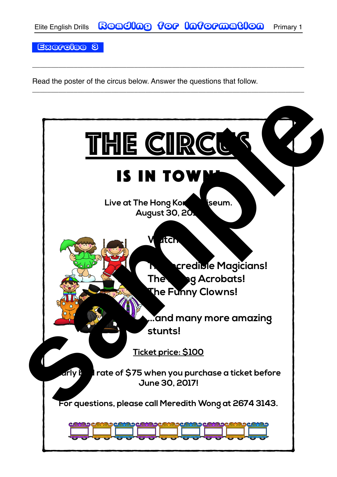\_\_\_\_\_\_\_\_\_\_\_\_\_\_\_\_\_\_\_\_\_\_\_\_\_\_\_\_\_\_\_\_\_\_\_\_\_\_\_\_\_\_\_\_\_\_\_\_\_\_\_\_\_\_\_\_\_\_\_\_\_\_\_\_\_\_\_\_\_\_\_\_

Exercise 3

Read the poster of the circus below. Answer the questions that follow.

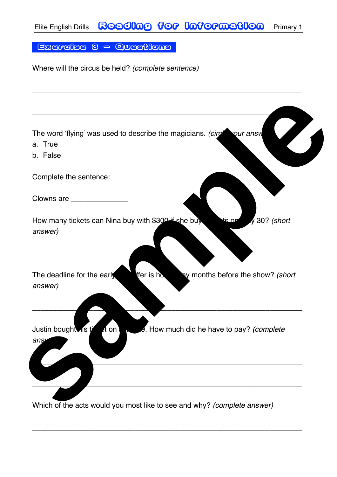$\overline{\phantom{a}}$  , and the contribution of the contribution of the contribution of the contribution of the contribution of the contribution of the contribution of the contribution of the contribution of the contribution of the

Exercise 3 - Questions

Where will the circus be held? *(complete sentence)*

|     | The word 'flying' was used to describe the magicians. (circle your ansy<br>a. True       |  |
|-----|------------------------------------------------------------------------------------------|--|
|     | b. False                                                                                 |  |
|     | Complete the sentence:                                                                   |  |
|     |                                                                                          |  |
|     | How many tickets can Nina buy with \$300 if she buy<br>30? (short<br>answer)             |  |
|     | ffer is he<br>The deadline for the early<br>ay months before the show? (short<br>answer) |  |
| ans | 9. How much did he have to pay? (complete<br>Justin bought is tight on J                 |  |
|     |                                                                                          |  |